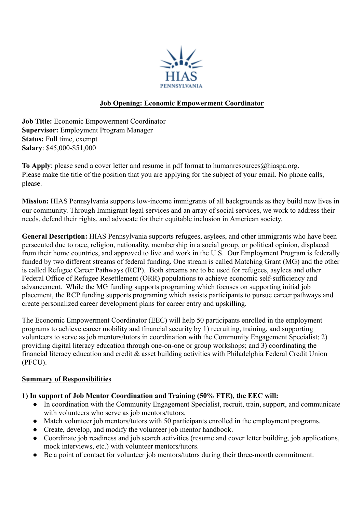

#### **Job Opening: Economic Empowerment Coordinator**

**Job Title:** Economic Empowerment Coordinator **Supervisor:** Employment Program Manager **Status:** Full time, exempt **Salary**: \$45,000-\$51,000

To Apply: please send a cover letter and resume in pdf format to humanresources@hiaspa.org. Please make the title of the position that you are applying for the subject of your email. No phone calls, please.

**Mission:** HIAS Pennsylvania supports low-income immigrants of all backgrounds as they build new lives in our community. Through Immigrant legal services and an array of social services, we work to address their needs, defend their rights, and advocate for their equitable inclusion in American society.

**General Description:** HIAS Pennsylvania supports refugees, asylees, and other immigrants who have been persecuted due to race, religion, nationality, membership in a social group, or political opinion, displaced from their home countries, and approved to live and work in the U.S. Our Employment Program is federally funded by two different streams of federal funding. One stream is called Matching Grant (MG) and the other is called Refugee Career Pathways (RCP). Both streams are to be used for refugees, asylees and other Federal Office of Refugee Resettlement (ORR) populations to achieve economic self-sufficiency and advancement. While the MG funding supports programing which focuses on supporting initial job placement, the RCP funding supports programing which assists participants to pursue career pathways and create personalized career development plans for career entry and upskilling.

The Economic Empowerment Coordinator (EEC) will help 50 participants enrolled in the employment programs to achieve career mobility and financial security by 1) recruiting, training, and supporting volunteers to serve as job mentors/tutors in coordination with the Community Engagement Specialist; 2) providing digital literacy education through one-on-one or group workshops; and 3) coordinating the financial literacy education and credit & asset building activities with Philadelphia Federal Credit Union (PFCU).

#### **Summary of Responsibilities**

#### **1) In support of Job Mentor Coordination and Training (50% FTE), the EEC will:**

- In coordination with the Community Engagement Specialist, recruit, train, support, and communicate with volunteers who serve as job mentors/tutors.
- Match volunteer job mentors/tutors with 50 participants enrolled in the employment programs.
- Create, develop, and modify the volunteer job mentor handbook.
- Coordinate job readiness and job search activities (resume and cover letter building, job applications, mock interviews, etc.) with volunteer mentors/tutors.
- Be a point of contact for volunteer job mentors/tutors during their three-month commitment.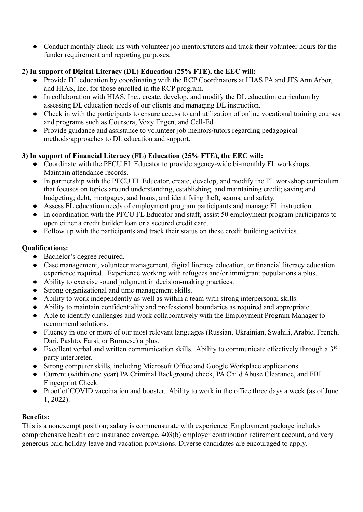• Conduct monthly check-ins with volunteer job mentors/tutors and track their volunteer hours for the funder requirement and reporting purposes.

# **2) In support of Digital Literacy (DL) Education (25% FTE), the EEC will:**

- Provide DL education by coordinating with the RCP Coordinators at HIAS PA and JFS Ann Arbor, and HIAS, Inc. for those enrolled in the RCP program.
- In collaboration with HIAS, Inc., create, develop, and modify the DL education curriculum by assessing DL education needs of our clients and managing DL instruction.
- Check in with the participants to ensure access to and utilization of online vocational training courses and programs such as Coursera, Voxy Engen, and Cell-Ed.
- Provide guidance and assistance to volunteer job mentors/tutors regarding pedagogical methods/approaches to DL education and support.

# **3) In support of Financial Literacy (FL) Education (25% FTE), the EEC will:**

- Coordinate with the PFCU FL Educator to provide agency-wide bi-monthly FL workshops. Maintain attendance records.
- In partnership with the PFCU FL Educator, create, develop, and modify the FL workshop curriculum that focuses on topics around understanding, establishing, and maintaining credit; saving and budgeting; debt, mortgages, and loans; and identifying theft, scams, and safety.
- Assess FL education needs of employment program participants and manage FL instruction.
- In coordination with the PFCU FL Educator and staff, assist 50 employment program participants to open either a credit builder loan or a secured credit card.
- Follow up with the participants and track their status on these credit building activities.

# **Qualifications:**

- Bachelor's degree required.
- Case management, volunteer management, digital literacy education, or financial literacy education experience required. Experience working with refugees and/or immigrant populations a plus.
- Ability to exercise sound judgment in decision-making practices.
- Strong organizational and time management skills.
- Ability to work independently as well as within a team with strong interpersonal skills.
- Ability to maintain confidentiality and professional boundaries as required and appropriate.
- Able to identify challenges and work collaboratively with the Employment Program Manager to recommend solutions.
- Fluency in one or more of our most relevant languages (Russian, Ukrainian, Swahili, Arabic, French, Dari, Pashto, Farsi, or Burmese) a plus.
- Excellent verbal and written communication skills. Ability to communicate effectively through a  $3<sup>rd</sup>$ party interpreter.
- Strong computer skills, including Microsoft Office and Google Workplace applications.
- Current (within one year) PA Criminal Background check, PA Child Abuse Clearance, and FBI Fingerprint Check.
- Proof of COVID vaccination and booster. Ability to work in the office three days a week (as of June 1, 2022).

# **Benefits:**

This is a nonexempt position; salary is commensurate with experience. Employment package includes comprehensive health care insurance coverage, 403(b) employer contribution retirement account, and very generous paid holiday leave and vacation provisions. Diverse candidates are encouraged to apply.